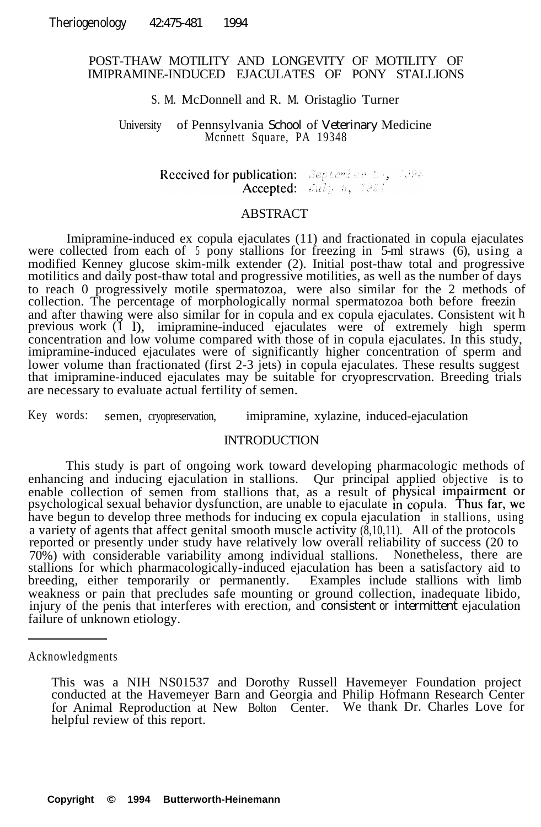# POST-THAW MOTILITY AND LONGEVITY OF MOTILITY OF IMIPRAMINE-INDUCED EJACULATES OF PONY STALLIONS

### S. M. McDonnell and R. M. Oristaglio Turner

University of Pennsylvania School of Veterinary Medicine Mcnnett Square, PA 19348

> Received for publication: September 25, 1995 Accepted: July 5, 1934

## ABSTRACT

Imipramine-induced ex copula ejaculates (11) and fractionated in copula ejaculates were collected from each of 5 pony stallions for freezing in 5-ml straws (6), using a modified Kenney glucose skim-milk extender (2). Initial post-thaw total and progressive motilitics and daily post-thaw total and progressive motilities, as well as the number of days to reach 0 progressively motile spermatozoa, were also similar for the 2 methods of collection. The percentage of morphologically normal spermatozoa both before freezin and after thawing were also similar for in copula and ex copula ejaculates. Consistent wit h previous work (1 l), imipramine-induced ejaculates were of extremely high sperm concentration and low volume compared with those of in copula ejaculates. In this study, imipramine-induced ejaculates were of significantly higher concentration of sperm and lower volume than fractionated (first 2-3 jets) in copula ejaculates. These results suggest that imipramine-induced ejaculates may be suitable for cryoprescrvation. Breeding trials are necessary to evaluate actual fertility of semen.

Key words: semen, cryopreservation, imipramine, xylazine, induced-ejaculation

## INTRODUCTION

This study is part of ongoing work toward developing pharmacologic methods of enhancing and inducing ejaculation in stallions. Qur principal applied objective is to enable collection of semen from stallions that, as a result of psychological sexual behavior dysfunction, are unable to ejaculate have begun to develop three methods for inducing ex copula ejaculation in stallions, using a variety of agents that affect genital smooth muscle activity  $(\dot{8},10,11)$ . All of the protocols reported or presently under study have relatively low overall reliability of success (20 to 70%) with considerable variability among individual stallions. Nonetheless, there are stallions for which pharmacologically-induced ejaculation has been a satisfactory aid to breeding, either temporarily or permanently. Examples include stallions with limb weakness or pain that precludes safe mounting or ground collection, inadequate libido, injury of the penis that interferes with erection, and consistent or intermittent ejaculation failure of unknown etiology.

Acknowledgments

This was a NIH NS01537 and Dorothy Russell Havemeyer Foundation project conducted at the Havemeyer Barn and Georgia and Philip Hofmann Research Center for Animal Reproduction at New Bolton Center. We thank Dr. Charles Love for helpful review of this report.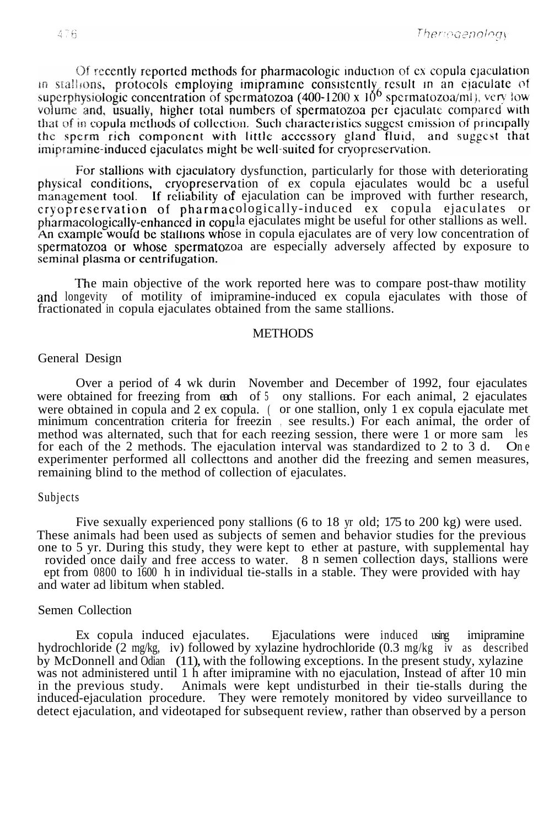Of recently reported methods for pharmacologic induction of ex copula ejaculation in stallions, protocols employing imipramine consistently result in an ejaculate of superphysiologic concentration of spermatozoa  $(400-1200 \times 10^6 \text{ spermatozoa/ml})$ , very low volume and, usually, higher total numbers of spermatozoa per ejaculate compared with that of in copula methods of collection. Such characteristics suggest emission of principally the sperm rich component with little accessory gland fluid, and suggest that imipramine-induced ejaculates might be well-suited for cryopreservation.

For stallions with ejaculatory dysfunction, particularly for those with deteriorating physical conditions, cryopreservation of ex copula ejaculates would bc a useful f ejaculation can be improved with further research, ologically-induced ex copula ejaculates or pharmacologically-enhanced in copula ejaculates might be useful for other stallions as well. An example would be stallions whose in copula ejaculates are of very low concentration of spermatozoa or whose spermatozoa are especially adversely affected by exposure to seminal plasma or centrifugation.

The main objective of the work reported here was to compare post-thaw motility and longevity of motility of imipramine-induced ex copula ejaculates with those of fractionated in copula ejaculates obtained from the same stallions.

#### **METHODS**

#### General Design

Over a period of 4 wk durin November and December of 1992, four ejaculates were obtained for freezing from each of 5 ony stallions. For each animal, 2 ejaculates were obtained in copula and 2 ex copula. ( or one stallion, only 1 ex copula ejaculate met minimum concentration criteria for freezin , see results.) For each animal, the order of method was alternated, such that for each reezing session, there were 1 or more sam les<br>for each of the 2 methods. The ejaculation interval was standardized to 2 to 3 d. One for each of the 2 methods. The ejaculation interval was standardized to  $2$  to  $3$  d. experimenter performed all collecttons and another did the freezing and semen measures, remaining blind to the method of collection of ejaculates.

#### Subjects

Five sexually experienced pony stallions (6 to 18 yr old; 175 to 200 kg) were used. These animals had been used as subjects of semen and behavior studies for the previous one to 5 yr. During this study, they were kept to ether at pasture, with supplemental hay rovided once daily and free access to water. 8 n semen collection days, stallions were ept from 0800 to 1600 h in individual tie-stalls in a stable. They were provided with hay and water ad libitum when stabled.

## Semen Collection

Ex copula induced ejaculates. Ejaculations were induced using imipramine hydrochloride (2 mg/kg, iv) followed by xylazine hydrochloride (0.3 mg/kg iv as described by McDonnell and Odian (11), with the following exceptions. In the present study, xylazine was not administered until 1 h after imipramine with no ejaculation, Instead of after 10 min in the previous study. Animals were kept undisturbed in their tie-stalls during the induced-ejaculation procedure. They were remotely monitored by video surveillance to detect ejaculation, and videotaped for subsequent review, rather than observed by a person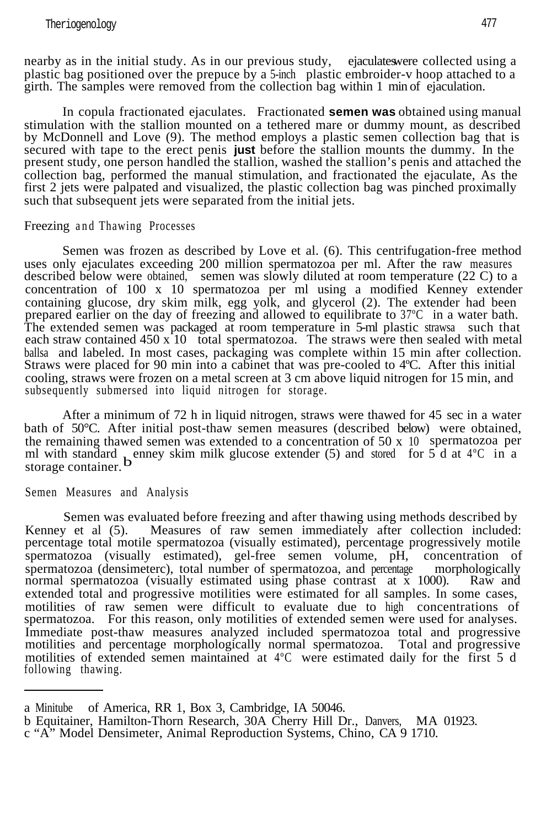nearby as in the initial study. As in our previous study, ejaculateswere collected using a plastic bag positioned over the prepuce by a 5-inch plastic embroider-v hoop attached to a girth. The samples were removed from the collection bag within 1 min of ejaculation.

In copula fractionated ejaculates. Fractionated **semen was** obtained using manual stimulation with the stallion mounted on a tethered mare or dummy mount, as described by McDonnell and Love (9). The method employs a plastic semen collection bag that is secured with tape to the erect penis **just** before the stallion mounts the dummy. In the present study, one person handled the stallion, washed the stallion's penis and attached the collection bag, performed the manual stimulation, and fractionated the ejaculate, As the first 2 jets were palpated and visualized, the plastic collection bag was pinched proximally such that subsequent jets were separated from the initial jets.

## Freezing and Thawing Processes

Semen was frozen as described by Love et al. (6). This centrifugation-free method uses only ejaculates exceeding 200 million spermatozoa per ml. After the raw measures described below were obtained, semen was slowly diluted at room temperature  $(22 \text{ C})$  to a concentration of 100 x 10 spermatozoa per ml using a modified Kenney extender containing glucose, dry skim milk, egg yolk, and glycerol (2). The extender had been prepared earlier on the day of freezing and allowed to equilibrate to 37ºC in a water bath. The extended semen was packaged at room temperature in 5-ml plastic strawsa such that each straw contained  $450 \times 10$  total spermatozoa. The straws were then sealed with metal ballsa and labeled. In most cases, packaging was complete within 15 min after collection. Straws were placed for 90 min into a cabinet that was pre-cooled to 4ºC. After this initial cooling, straws were frozen on a metal screen at 3 cm above liquid nitrogen for 15 min, and subsequently submersed into liquid nitrogen for storage.

After a minimum of 72 h in liquid nitrogen, straws were thawed for 45 sec in a water bath of 50°C. After initial post-thaw semen measures (described below) were obtained, the remaining thawed semen was extended to a concentration of  $50 \times 10$  spermatozoa per ml with standard **b** enney skim milk glucose extender (5) and stored for  $5\bar{d}$  at  $4^{\circ}$ C in a storage container.

Semen Measures and Analysis

Semen was evaluated before freezing and after thawing using methods described by Kenney et al (5). Measures of raw semen immediately after collection included: percentage total motile spermatozoa (visually estimated), percentage progressively motile spermatozoa (visually estimated), gel-free semen volume, pH, concentration of spermatozoa (densimeterc), total number of spermatozoa, and percentage morphologically normal spermatozoa (visually estimated using phase contrast at x 1000). Raw and normal spermatozoa (visually estimated using phase contrast at  $\bar{x}$  1000). extended total and progressive motilities were estimated for all samples. In some cases, motilities of raw semen were difficult to evaluate due to high concentrations of spermatozoa. For this reason, only motilities of extended semen were used for analyses. Immediate post-thaw measures analyzed included spermatozoa total and progressive motilities and percentage morphologically normal spermatozoa. Total and progressive motilities of extended semen maintained at 4ºC were estimated daily for the first 5 d following thawing.

a Minitube of America, RR 1, Box 3, Cambridge, IA 50046.

b Equitainer, Hamilton-Thorn Research, 30A Cherry Hill Dr., Danvers, MA 01923.

c "A" Model Densimeter, Animal Reproduction Systems, Chino, CA 9 1710.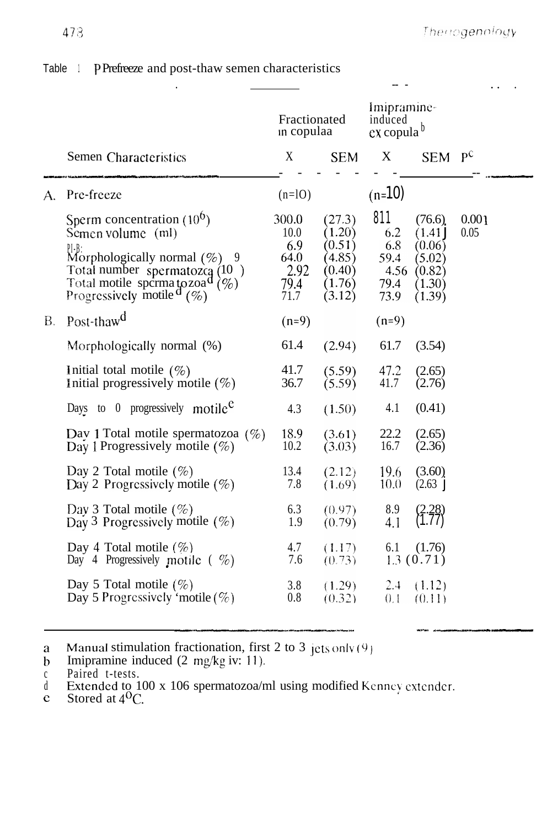|    |                                                                                                                                                                                                                               | Fractionated<br>in copulaa                           |                                                                    | Imipramine-<br>induced<br>$ex copula^b$           |                                                                    |               |
|----|-------------------------------------------------------------------------------------------------------------------------------------------------------------------------------------------------------------------------------|------------------------------------------------------|--------------------------------------------------------------------|---------------------------------------------------|--------------------------------------------------------------------|---------------|
|    | Semen Characteristics                                                                                                                                                                                                         | X                                                    | <b>SEM</b>                                                         | X                                                 | <b>SEM</b>                                                         | $p$ c         |
| A. | Pre-freeze                                                                                                                                                                                                                    | $(n=10)$                                             |                                                                    | $(n=10)$                                          |                                                                    |               |
|    | Sperm concentration $(10^{\circ})$<br>Semen volume (ml)<br>P[-B:<br>Morphologically normal $(\%)$ 9<br>Total number spermatozca $(10)$<br>Total motile spcrma to zoa <sup>d</sup> $(\%)$<br>Progressively motile $\sigma$ (%) | 300.0<br>10.0<br>6.9<br>64.0<br>2.92<br>79.4<br>71.7 | (27.3)<br>(1.20)<br>(0.51)<br>(4.85)<br>(0.40)<br>(1.76)<br>(3.12) | 811<br>6.2<br>6.8<br>59.4<br>4.56<br>79.4<br>73.9 | (76.6)<br>(1.41)<br>(0.06)<br>(5.02)<br>(0.82)<br>(1.30)<br>(1.39) | 0.001<br>0.05 |
| B. | Post-thaw <sup>d</sup>                                                                                                                                                                                                        | $(n=9)$                                              |                                                                    | $(n=9)$                                           |                                                                    |               |
|    | Morphologically normal (%)                                                                                                                                                                                                    | 61.4                                                 | (2.94)                                                             | 61.7                                              | (3.54)                                                             |               |
|    | Initial total motile $(\%)$<br>Initial progressively motile $(\%)$                                                                                                                                                            | 41.7<br>36.7                                         | (5.59)<br>(5.59)                                                   | 47.2<br>41.7                                      | (2.65)<br>(2.76)                                                   |               |
|    | Days to 0 progressively motile <sup><math>e</math></sup>                                                                                                                                                                      | 4.3                                                  | (1.50)                                                             | 4.1                                               | (0.41)                                                             |               |
|    | Day 1 Total motile spermatozoa $(\%)$<br>Day 1 Progressively motile $(\%)$                                                                                                                                                    | 18.9<br>10.2                                         | (3.61)<br>(3.03)                                                   | 22.2<br>16.7                                      | (2.65)<br>(2.36)                                                   |               |
|    | Day 2 Total motile $(\%)$<br>Day 2 Progressively motile $(\%)$                                                                                                                                                                | 13.4<br>7.8                                          | (2.12)<br>(1.69)                                                   | 19.6<br>10.0                                      | (3.60)<br>(2.63)                                                   |               |
|    | Day 3 Total motile $(\% )$<br>Day 3 Progressively motile $(\%)$                                                                                                                                                               | 6.3<br>1.9                                           | (0.97)<br>(0.79)                                                   | 8.9<br>4.1                                        |                                                                    |               |
|    | Day 4 Total motile $(\%)$<br>Day 4 Progressively motile $(\%)$                                                                                                                                                                | 4.7<br>7.6                                           | (1.17)<br>(0.73)                                                   | 6.1                                               | (1.76)<br>1.3(0.71)                                                |               |
|    | Day 5 Total motile $(\%)$<br>Day 5 Progressively 'motile $(\%)$                                                                                                                                                               | 3.8<br>0.8                                           | (1.29)<br>(0.32)                                                   | 2.4<br>0.1                                        | (1.12)<br>(0.11)                                                   |               |

# Table 1 PPrefreeze and post-thaw semen characteristics

 $\bf{a}$ Manual stimulation fractionation, first 2 to 3 jets only (9)

 $\mathbf b$ Imipramine induced (2 mg/kg iv: 11)\*

c Paired t-tests.<br>d Extended to 100 x 106 spermatozoa/ml using modified Kenney extender.<br>c Stored at 4<sup>0</sup>C.

~-~------l..-l-.--l--~-\_l\_ll--~~~ -- .-\_-- ^ - .--- "\_ .-\_- - ---- - -111-1-----------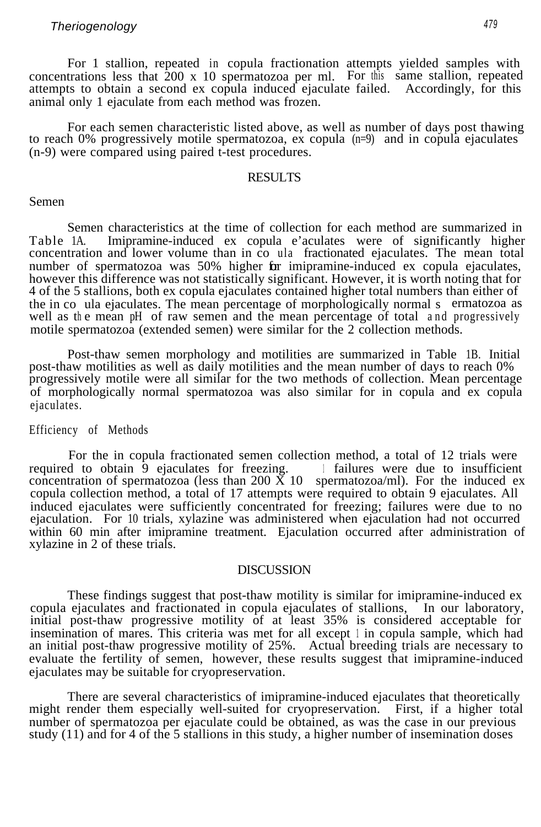# *Theriogenology <sup>479</sup>*

For 1 stallion, repeated in copula fractionation attempts yielded samples with concentrations less that 200 x 10 spermatozoa per ml. For this same stallion, repeated attempts to obtain a second ex copula induced ejaculate failed. Accordingly, for this animal only 1 ejaculate from each method was frozen.

For each semen characteristic listed above, as well as number of days post thawing to reach 0% progressively motile spermatozoa, ex copula (n=9) and in copula ejaculates (n-9) were compared using paired t-test procedures.

## RESULTS

#### Semen

Semen characteristics at the time of collection for each method are summarized in Table 1A. Imipramine-induced ex copula e'aculates were of significantly higher concentration and lower volume than in co ula fractionated ejaculates. The mean total number of spermatozoa was 50% higher for imipramine-induced ex copula ejaculates, however this difference was not statistically significant. However, it is worth noting that for 4 of the 5 stallions, both ex copula ejaculates contained higher total numbers than either of the in co ula ejaculates. The mean percentage of morphologically normal s ermatozoa as well as the mean pH of raw semen and the mean percentage of total and progressively motile spermatozoa (extended semen) were similar for the 2 collection methods.

Post-thaw semen morphology and motilities are summarized in Table 1B. Initial post-thaw motilities as well as daily motilities and the mean number of days to reach 0% progressively motile were all similar for the two methods of collection. Mean percentage of morphologically normal spermatozoa was also similar for in copula and ex copula ejaculates.

# Efficiency of Methods

For the in copula fractionated semen collection method, a total of 12 trials were required to obtain  $\overline{9}$  ejaculates for freezing. If ailures were due to insufficient concentration of spermatozoa (less than 200  $\check{X}$  10 spermatozoa/ml). For the induced ex copula collection method, a total of 17 attempts were required to obtain 9 ejaculates. All induced ejaculates were sufficiently concentrated for freezing; failures were due to no ejaculation. For 10 trials, xylazine was administered when ejaculation had not occurred within 60 min after imipramine treatment. Ejaculation occurred after administration of xylazine in 2 of these trials.

### DISCUSSION

These findings suggest that post-thaw motility is similar for imipramine-induced ex copula ejaculates and fractionated in copula ejaculates of stallions, In our laboratory, initial post-thaw progressive motility of at least 35% is considered acceptable for insemination of mares. This criteria was met for all except 1 in copula sample, which had an initial post-thaw progressive motility of 25%. Actual breeding trials are necessary to evaluate the fertility of semen, however, these results suggest that imipramine-induced ejaculates may be suitable for cryopreservation.

There are several characteristics of imipramine-induced ejaculates that theoretically might render them especially well-suited for cryopreservation. First, if a higher total number of spermatozoa per ejaculate could be obtained, as was the case in our previous study (11) and for 4 of the 5 stallions in this study, a higher number of insemination doses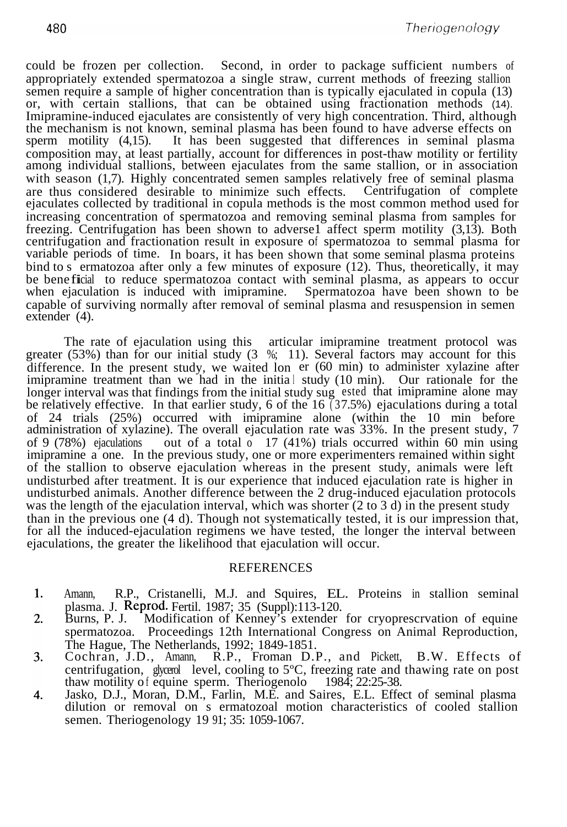could be frozen per collection. Second, in order to package sufficient numbers of appropriately extended spermatozoa a single straw, current methods of freezing stallion semen require a sample of higher concentration than is typically ejaculated in copula (13) or, with certain stallions, that can be obtained using fractionation methods (14). Imipramine-induced ejaculates are consistently of very high concentration. Third, although the mechanism is not known, seminal plasma has been found to have adverse effects on sperm motility (4,15). It has been suggested that differences in seminal plasma composition may, at least partially, account for differences in post-thaw motility or fertility among individual stallions, between ejaculates from the same stallion, or in association with season (1,7). Highly concentrated semen samples relatively free of seminal plasma are thus considered desirable to minimize such effects. Centrifugation of complete are thus considered desirable to minimize such effects. ejaculates collected by traditional in copula methods is the most common method used for increasing concentration of spermatozoa and removing seminal plasma from samples for freezing. Centrifugation has been shown to adverse1 affect sperm motility (3,13). Both centrifugation and fractionation result in exposure of spermatozoa to semmal plasma for variable periods of time. In boars, it has been shown that some seminal plasma proteins bind to s ermatozoa after only a few minutes of exposure (12). Thus, theoretically, it may be bene ficial to reduce spermatozoa contact with seminal plasma, as appears to occur when ejaculation is induced with imipramine. Spermatozoa have been shown to be capable of surviving normally after removal of seminal plasma and resuspension in semen extender (4).

The rate of ejaculation using this articular imipramine treatment protocol was greater  $(53%)$  than for our initial study  $(3\%; 11)$ . Several factors may account for this difference. In the present study, we waited lon er (60 min) to administer xylazine after imipramine treatment than we had in the initial study (10 min). Our rationale for the longer interval was that findings from the initial study sug ested that imipramine alone may be relatively effective. In that earlier study, 6 of the  $16$  (37.5%) ejaculations during a total of 24 trials (25%) occurred with imipramine alone (within the 10 min before administration of xylazine). The overall ejaculation rate was 33%. In the present study, 7 of 9 (78%) ejaculations out of a total o 17 (41%) trials occurred within 60 min using imipramine a one. In the previous study, one or more experimenters remained within sight of the stallion to observe ejaculation whereas in the present study, animals were left undisturbed after treatment. It is our experience that induced ejaculation rate is higher in undisturbed animals. Another difference between the 2 drug-induced ejaculation protocols was the length of the ejaculation interval, which was shorter (2 to 3 d) in the present study than in the previous one (4 d). Though not systematically tested, it is our impression that, for all the induced-ejaculation regimens we have tested, the longer the interval between ejaculations, the greater the likelihood that ejaculation will occur.

## REFERENCES

- $\mathbf{1}$ . Amann, R.P., Cristanelli, M.J. and Squires, EL. Proteins in stallion seminal plasma. J. Reprod. Fertil. 1987; 35 (Suppl):113-120.<br>Burns, P. J. Modification of Kenney's extender
- Modification of Kenney's extender for cryoprescrvation of equine 2. spermatozoa. Proceedings 12th International Congress on Animal Reproduction, The Hague, The Netherlands, 1992; 1849-1851.
- 3. Cochran, J.D., Amann, R.P., Froman D.P., and Pickett, B.W. Effects of centrifugation, glycerol level, cooling to 5°C, freezing rate and thawing rate on post thaw motility of equine sperm. Theriogenolo 1984; 22:25-38.
- 4. Jasko, D.J., Moran, D.M., Farlin, M.E. and Saires, E.L. Effect of seminal plasma dilution or removal on s ermatozoal motion characteristics of cooled stallion semen. Theriogenology 19 91; 35: 1059-1067.